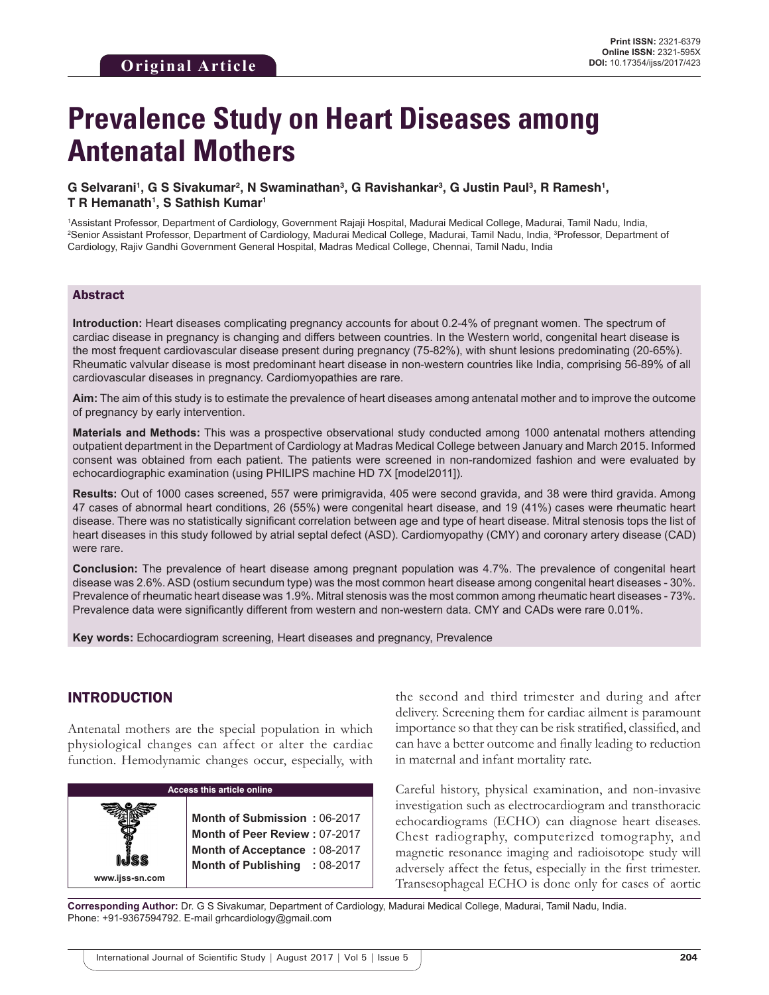# **Prevalence Study on Heart Diseases among Antenatal Mothers**

#### $\bf{G}$  Selvarani',  $\bf{G}$  S Sivakumar<sup>2</sup>, N Swaminathan $^3$ , G Ravishankar $^3$ , G Justin Paul $^3$ , R Ramesh $^1$ , **T R Hemanath1 , S Sathish Kumar1**

1 Assistant Professor, Department of Cardiology, Government Rajaji Hospital, Madurai Medical College, Madurai, Tamil Nadu, India, 2 Senior Assistant Professor, Department of Cardiology, Madurai Medical College, Madurai, Tamil Nadu, India, 3 Professor, Department of Cardiology, Rajiv Gandhi Government General Hospital, Madras Medical College, Chennai, Tamil Nadu, India

#### Abstract

**Introduction:** Heart diseases complicating pregnancy accounts for about 0.2-4% of pregnant women. The spectrum of cardiac disease in pregnancy is changing and differs between countries. In the Western world, congenital heart disease is the most frequent cardiovascular disease present during pregnancy (75-82%), with shunt lesions predominating (20-65%). Rheumatic valvular disease is most predominant heart disease in non-western countries like India, comprising 56-89% of all cardiovascular diseases in pregnancy. Cardiomyopathies are rare.

**Aim:** The aim of this study is to estimate the prevalence of heart diseases among antenatal mother and to improve the outcome of pregnancy by early intervention.

**Materials and Methods:** This was a prospective observational study conducted among 1000 antenatal mothers attending outpatient department in the Department of Cardiology at Madras Medical College between January and March 2015. Informed consent was obtained from each patient. The patients were screened in non-randomized fashion and were evaluated by echocardiographic examination (using PHILIPS machine HD 7X [model2011]).

**Results:** Out of 1000 cases screened, 557 were primigravida, 405 were second gravida, and 38 were third gravida. Among 47 cases of abnormal heart conditions, 26 (55%) were congenital heart disease, and 19 (41%) cases were rheumatic heart disease. There was no statistically significant correlation between age and type of heart disease. Mitral stenosis tops the list of heart diseases in this study followed by atrial septal defect (ASD). Cardiomyopathy (CMY) and coronary artery disease (CAD) were rare.

**Conclusion:** The prevalence of heart disease among pregnant population was 4.7%. The prevalence of congenital heart disease was 2.6%. ASD (ostium secundum type) was the most common heart disease among congenital heart diseases - 30%. Prevalence of rheumatic heart disease was 1.9%. Mitral stenosis was the most common among rheumatic heart diseases - 73%. Prevalence data were significantly different from western and non-western data. CMY and CADs were rare 0.01%.

**Key words:** Echocardiogram screening, Heart diseases and pregnancy, Prevalence

#### INTRODUCTION

Antenatal mothers are the special population in which physiological changes can affect or alter the cardiac function. Hemodynamic changes occur, especially, with

| <b>Access this article online</b> |                                                                                                                                |  |  |  |
|-----------------------------------|--------------------------------------------------------------------------------------------------------------------------------|--|--|--|
| www.ijss-sn.com                   | Month of Submission: 06-2017<br>Month of Peer Review: 07-2017<br>Month of Acceptance: 08-2017<br>Month of Publishing : 08-2017 |  |  |  |

the second and third trimester and during and after delivery. Screening them for cardiac ailment is paramount importance so that they can be risk stratified, classified, and can have a better outcome and finally leading to reduction in maternal and infant mortality rate.

Careful history, physical examination, and non-invasive investigation such as electrocardiogram and transthoracic echocardiograms (ECHO) can diagnose heart diseases. Chest radiography, computerized tomography, and magnetic resonance imaging and radioisotope study will adversely affect the fetus, especially in the first trimester. Transesophageal ECHO is done only for cases of aortic

**Corresponding Author:** Dr. G S Sivakumar, Department of Cardiology, Madurai Medical College, Madurai, Tamil Nadu, India. Phone: +91-9367594792. E-mail grhcardiology@gmail.com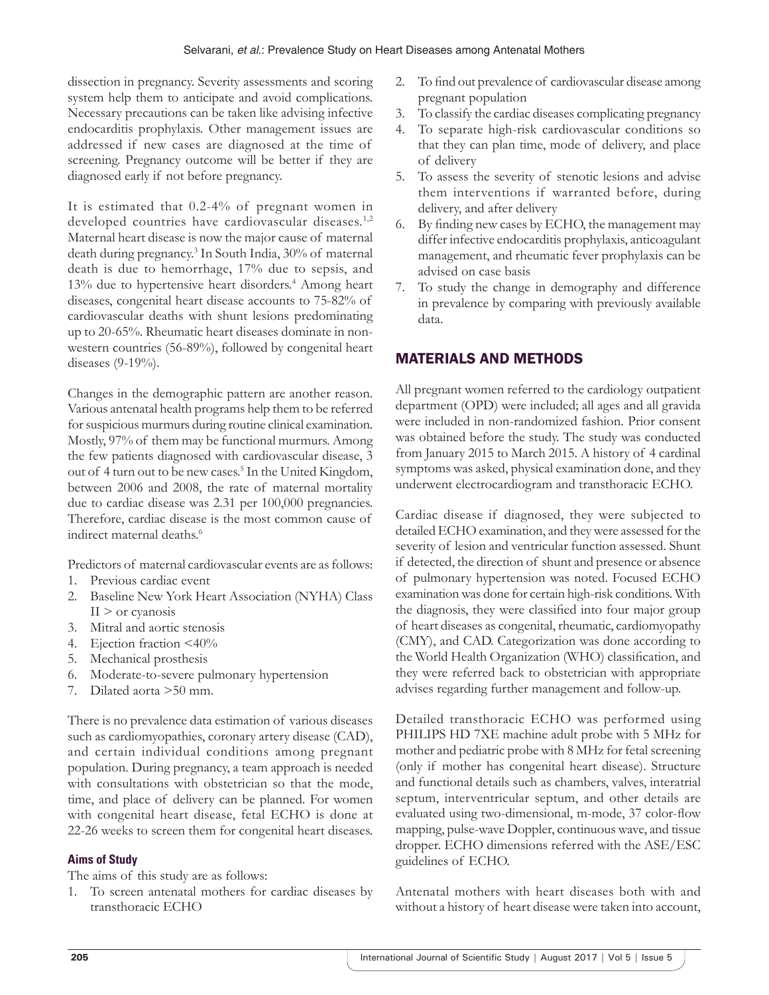dissection in pregnancy. Severity assessments and scoring system help them to anticipate and avoid complications. Necessary precautions can be taken like advising infective endocarditis prophylaxis. Other management issues are addressed if new cases are diagnosed at the time of screening. Pregnancy outcome will be better if they are diagnosed early if not before pregnancy.

It is estimated that 0.2-4% of pregnant women in developed countries have cardiovascular diseases.<sup>1,2</sup> Maternal heart disease is now the major cause of maternal death during pregnancy.3 In South India, 30% of maternal death is due to hemorrhage, 17% due to sepsis, and 13% due to hypertensive heart disorders.<sup>4</sup> Among heart diseases, congenital heart disease accounts to 75-82% of cardiovascular deaths with shunt lesions predominating up to 20-65%. Rheumatic heart diseases dominate in nonwestern countries (56-89%), followed by congenital heart diseases (9-19%).

Changes in the demographic pattern are another reason. Various antenatal health programs help them to be referred for suspicious murmurs during routine clinical examination. Mostly, 97% of them may be functional murmurs. Among the few patients diagnosed with cardiovascular disease, 3 out of 4 turn out to be new cases.<sup>5</sup> In the United Kingdom, between 2006 and 2008, the rate of maternal mortality due to cardiac disease was 2.31 per 100,000 pregnancies. Therefore, cardiac disease is the most common cause of indirect maternal deaths.<sup>6</sup>

Predictors of maternal cardiovascular events are as follows:

- 1. Previous cardiac event
- 2. Baseline New York Heart Association (NYHA) Class  $II$  > or cyanosis
- 3. Mitral and aortic stenosis
- 4. Ejection fraction <40%
- 5. Mechanical prosthesis
- 6. Moderate-to-severe pulmonary hypertension
- 7. Dilated aorta >50 mm.

There is no prevalence data estimation of various diseases such as cardiomyopathies, coronary artery disease (CAD), and certain individual conditions among pregnant population. During pregnancy, a team approach is needed with consultations with obstetrician so that the mode, time, and place of delivery can be planned. For women with congenital heart disease, fetal ECHO is done at 22-26 weeks to screen them for congenital heart diseases.

## **Aims of Study**

The aims of this study are as follows:

1. To screen antenatal mothers for cardiac diseases by transthoracic ECHO

- 2. To find out prevalence of cardiovascular disease among pregnant population
- 3. To classify the cardiac diseases complicating pregnancy
- 4. To separate high-risk cardiovascular conditions so that they can plan time, mode of delivery, and place of delivery
- 5. To assess the severity of stenotic lesions and advise them interventions if warranted before, during delivery, and after delivery
- 6. By finding new cases by ECHO, the management may differ infective endocarditis prophylaxis, anticoagulant management, and rheumatic fever prophylaxis can be advised on case basis
- 7. To study the change in demography and difference in prevalence by comparing with previously available data.

# MATERIALS AND METHODS

All pregnant women referred to the cardiology outpatient department (OPD) were included; all ages and all gravida were included in non-randomized fashion. Prior consent was obtained before the study. The study was conducted from January 2015 to March 2015. A history of 4 cardinal symptoms was asked, physical examination done, and they underwent electrocardiogram and transthoracic ECHO.

Cardiac disease if diagnosed, they were subjected to detailed ECHO examination, and they were assessed for the severity of lesion and ventricular function assessed. Shunt if detected, the direction of shunt and presence or absence of pulmonary hypertension was noted. Focused ECHO examination was done for certain high-risk conditions. With the diagnosis, they were classified into four major group of heart diseases as congenital, rheumatic, cardiomyopathy (CMY), and CAD. Categorization was done according to the World Health Organization (WHO) classification, and they were referred back to obstetrician with appropriate advises regarding further management and follow-up.

Detailed transthoracic ECHO was performed using PHILIPS HD 7XE machine adult probe with 5 MHz for mother and pediatric probe with 8 MHz for fetal screening (only if mother has congenital heart disease). Structure and functional details such as chambers, valves, interatrial septum, interventricular septum, and other details are evaluated using two-dimensional, m-mode, 37 color-flow mapping, pulse-wave Doppler, continuous wave, and tissue dropper. ECHO dimensions referred with the ASE/ESC guidelines of ECHO.

Antenatal mothers with heart diseases both with and without a history of heart disease were taken into account,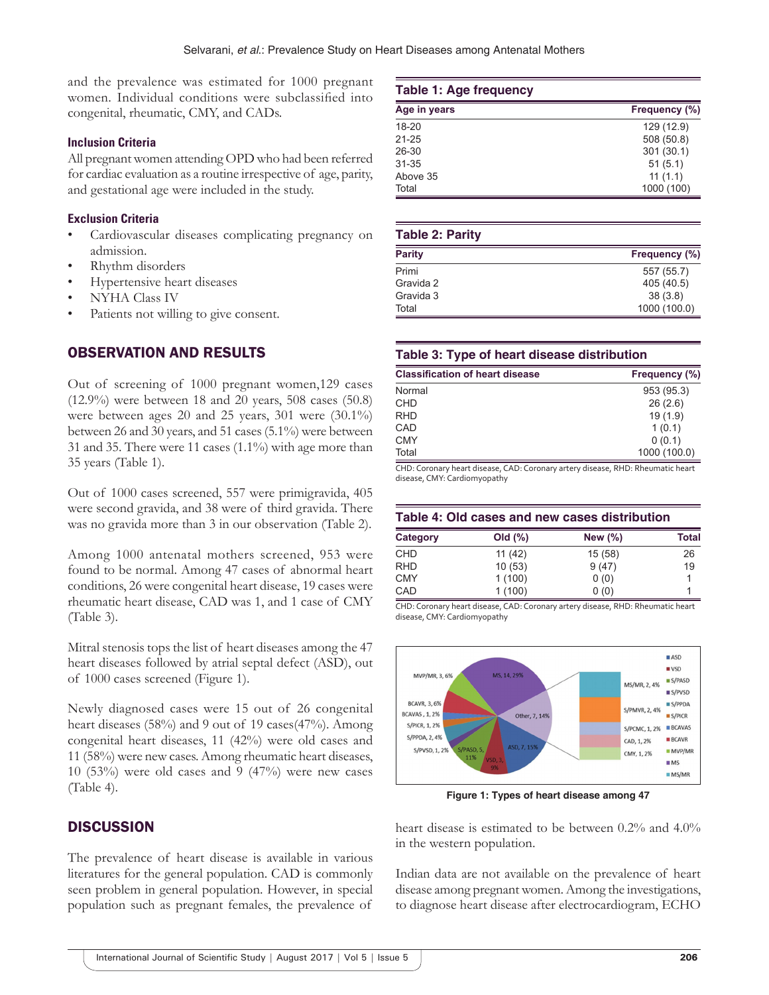and the prevalence was estimated for 1000 pregnant women. Individual conditions were subclassified into congenital, rheumatic, CMY, and CADs.

#### **Inclusion Criteria**

All pregnant women attending OPD who had been referred for cardiac evaluation as a routine irrespective of age, parity, and gestational age were included in the study.

### **Exclusion Criteria**

- Cardiovascular diseases complicating pregnancy on admission.
- Rhythm disorders
- Hypertensive heart diseases
- NYHA Class IV
- Patients not willing to give consent.

## OBSERVATION AND RESULTS

Out of screening of 1000 pregnant women,129 cases (12.9%) were between 18 and 20 years, 508 cases (50.8) were between ages 20 and 25 years, 301 were (30.1%) between 26 and 30 years, and 51 cases (5.1%) were between 31 and 35. There were 11 cases (1.1%) with age more than 35 years (Table 1).

Out of 1000 cases screened, 557 were primigravida, 405 were second gravida, and 38 were of third gravida. There was no gravida more than 3 in our observation (Table 2).

Among 1000 antenatal mothers screened, 953 were found to be normal. Among 47 cases of abnormal heart conditions, 26 were congenital heart disease, 19 cases were rheumatic heart disease, CAD was 1, and 1 case of CMY (Table 3).

Mitral stenosis tops the list of heart diseases among the 47 heart diseases followed by atrial septal defect (ASD), out of 1000 cases screened (Figure 1).

Newly diagnosed cases were 15 out of 26 congenital heart diseases (58%) and 9 out of 19 cases(47%). Among congenital heart diseases, 11 (42%) were old cases and 11 (58%) were new cases. Among rheumatic heart diseases, 10 (53%) were old cases and 9 (47%) were new cases (Table 4).

## **DISCUSSION**

The prevalence of heart disease is available in various literatures for the general population. CAD is commonly seen problem in general population. However, in special population such as pregnant females, the prevalence of

#### **Table 1: Age frequency Age in years Frequency (%)** 18-20 129 (12.9) 21-25 508 (50.8) 26-30 301 (30.1)<br>31-35 51 (5.1) 51 (5.1) Above 35 11 (1.1) Total 1000 (100)

| <b>Table 2: Parity</b> |               |  |
|------------------------|---------------|--|
| <b>Parity</b>          | Frequency (%) |  |
| Primi                  | 557 (55.7)    |  |
| Gravida 2              | 405 (40.5)    |  |
| Gravida 3              | 38(3.8)       |  |
| Total                  | 1000 (100.0)  |  |

#### **Table 3: Type of heart disease distribution**

| <b>Classification of heart disease</b> | Frequency (%) |
|----------------------------------------|---------------|
| Normal                                 | 953 (95.3)    |
| <b>CHD</b>                             | 26(2.6)       |
| <b>RHD</b>                             | 19(1.9)       |
| CAD                                    | 1(0.1)        |
| <b>CMY</b>                             | 0(0.1)        |
| Total                                  | 1000 (100.0)  |

CHD: Coronary heart disease, CAD: Coronary artery disease, RHD: Rheumatic heart disease, CMY: Cardiomyopathy

#### **Table 4: Old cases and new cases distribution**

| Category   | Old $(\%)$ | New $(\% )$ | <b>Total</b> |
|------------|------------|-------------|--------------|
| <b>CHD</b> | 11 (42)    | 15 (58)     | 26           |
| <b>RHD</b> | 10(53)     | 9(47)       | 19           |
| <b>CMY</b> | 1(100)     | 0(0)        |              |
| CAD        | 1(100)     | 0(0)        |              |

CHD: Coronary heart disease, CAD: Coronary artery disease, RHD: Rheumatic heart disease, CMY: Cardiomyopathy



**Figure 1: Types of heart disease among 47** 

heart disease is estimated to be between 0.2% and 4.0% in the western population.

Indian data are not available on the prevalence of heart disease among pregnant women. Among the investigations, to diagnose heart disease after electrocardiogram, ECHO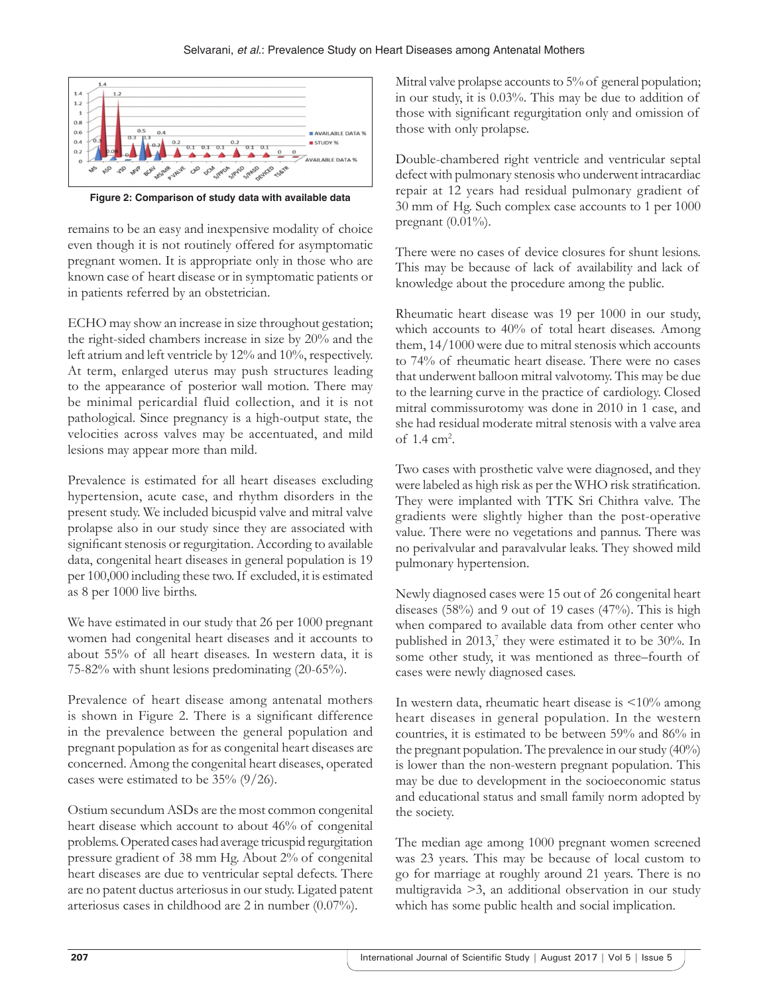#### Selvarani, *et al*.: Prevalence Study on Heart Diseases among Antenatal Mothers



**Figure 2: Comparison of study data with available data**

remains to be an easy and inexpensive modality of choice even though it is not routinely offered for asymptomatic pregnant women. It is appropriate only in those who are known case of heart disease or in symptomatic patients or in patients referred by an obstetrician.

ECHO may show an increase in size throughout gestation; the right-sided chambers increase in size by 20% and the left atrium and left ventricle by 12% and 10%, respectively. At term, enlarged uterus may push structures leading to the appearance of posterior wall motion. There may be minimal pericardial fluid collection, and it is not pathological. Since pregnancy is a high-output state, the velocities across valves may be accentuated, and mild lesions may appear more than mild.

Prevalence is estimated for all heart diseases excluding hypertension, acute case, and rhythm disorders in the present study. We included bicuspid valve and mitral valve prolapse also in our study since they are associated with significant stenosis or regurgitation. According to available data, congenital heart diseases in general population is 19 per 100,000 including these two. If excluded, it is estimated as 8 per 1000 live births.

We have estimated in our study that 26 per 1000 pregnant women had congenital heart diseases and it accounts to about 55% of all heart diseases. In western data, it is 75-82% with shunt lesions predominating (20-65%).

Prevalence of heart disease among antenatal mothers is shown in Figure 2. There is a significant difference in the prevalence between the general population and pregnant population as for as congenital heart diseases are concerned. Among the congenital heart diseases, operated cases were estimated to be 35% (9/26).

Ostium secundum ASDs are the most common congenital heart disease which account to about 46% of congenital problems. Operated cases had average tricuspid regurgitation pressure gradient of 38 mm Hg. About 2% of congenital heart diseases are due to ventricular septal defects. There are no patent ductus arteriosus in our study. Ligated patent arteriosus cases in childhood are 2 in number (0.07%).

Mitral valve prolapse accounts to 5% of general population; in our study, it is 0.03%. This may be due to addition of those with significant regurgitation only and omission of those with only prolapse.

Double-chambered right ventricle and ventricular septal defect with pulmonary stenosis who underwent intracardiac repair at 12 years had residual pulmonary gradient of 30 mm of Hg. Such complex case accounts to 1 per 1000 pregnant (0.01%).

There were no cases of device closures for shunt lesions. This may be because of lack of availability and lack of knowledge about the procedure among the public.

Rheumatic heart disease was 19 per 1000 in our study, which accounts to 40% of total heart diseases. Among them, 14/1000 were due to mitral stenosis which accounts to 74% of rheumatic heart disease. There were no cases that underwent balloon mitral valvotomy. This may be due to the learning curve in the practice of cardiology. Closed mitral commissurotomy was done in 2010 in 1 case, and she had residual moderate mitral stenosis with a valve area of  $1.4 \text{ cm}^2$ .

Two cases with prosthetic valve were diagnosed, and they were labeled as high risk as per the WHO risk stratification. They were implanted with TTK Sri Chithra valve. The gradients were slightly higher than the post-operative value. There were no vegetations and pannus. There was no perivalvular and paravalvular leaks. They showed mild pulmonary hypertension.

Newly diagnosed cases were 15 out of 26 congenital heart diseases (58%) and 9 out of 19 cases (47%). This is high when compared to available data from other center who published in 2013,<sup>7</sup> they were estimated it to be 30%. In some other study, it was mentioned as three–fourth of cases were newly diagnosed cases.

In western data, rheumatic heart disease is <10% among heart diseases in general population. In the western countries, it is estimated to be between 59% and 86% in the pregnant population. The prevalence in our study (40%) is lower than the non-western pregnant population. This may be due to development in the socioeconomic status and educational status and small family norm adopted by the society.

The median age among 1000 pregnant women screened was 23 years. This may be because of local custom to go for marriage at roughly around 21 years. There is no multigravida >3, an additional observation in our study which has some public health and social implication.